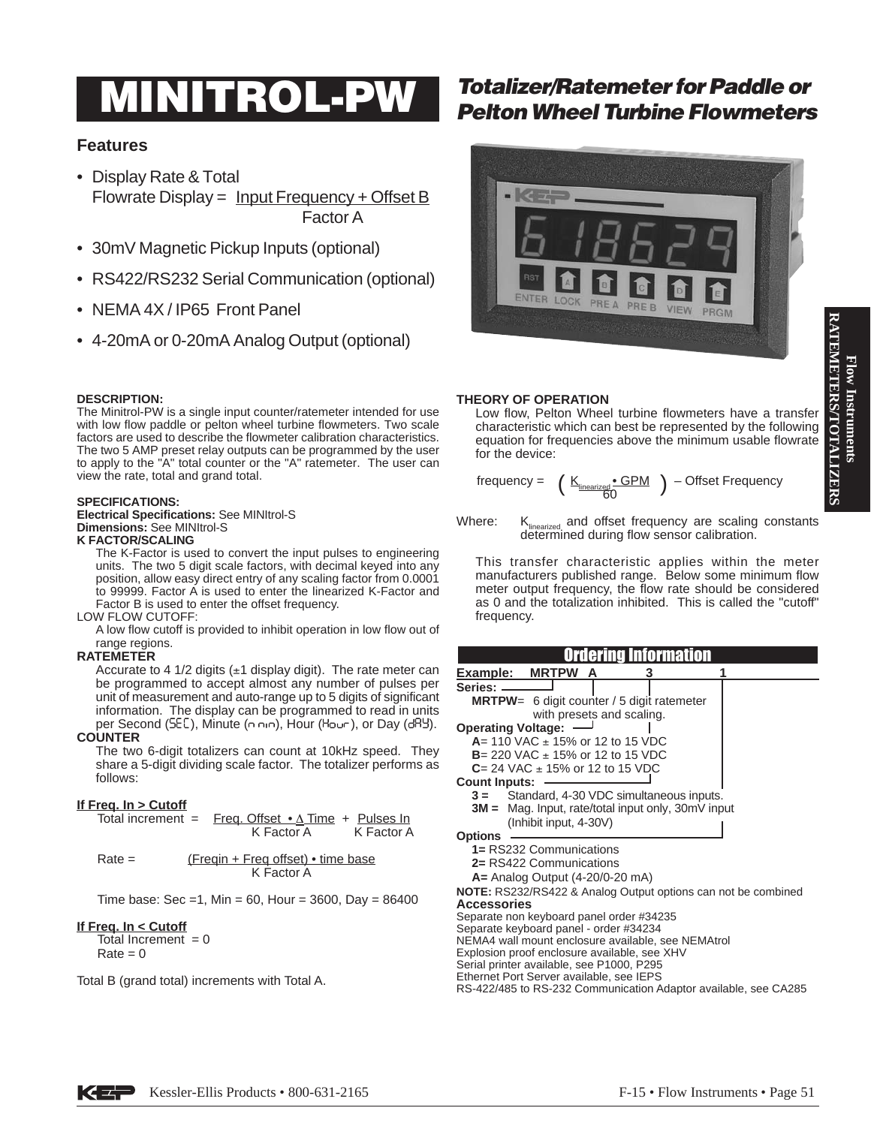# **RATEMETERS/TOTALIZERS RATEMETERS/TOTALIZERS** Flow Instruments **Flow Instruments**

# **Features**

- Display Rate & Total Flowrate Display =  $Input$  Frequency + Offset B Factor A
- 30mV Magnetic Pickup Inputs (optional)
- RS422/RS232 Serial Communication (optional)
- NEMA 4X / IP65 Front Panel
- 4-20mA or 0-20mA Analog Output (optional)

# **DESCRIPTION:**

The Minitrol-PW is a single input counter/ratemeter intended for use with low flow paddle or pelton wheel turbine flowmeters. Two scale factors are used to describe the flowmeter calibration characteristics. The two 5 AMP preset relay outputs can be programmed by the user to apply to the "A" total counter or the "A" ratemeter. The user can view the rate, total and grand total.

### **SPECIFICATIONS:**

**Electrical Specifications:** See MINItrol-S **Dimensions:** See MINItrol-S **K FACTOR/SCALING**

The K-Factor is used to convert the input pulses to engineering units. The two 5 digit scale factors, with decimal keyed into any position, allow easy direct entry of any scaling factor from 0.0001 to 99999. Factor A is used to enter the linearized K-Factor and Factor B is used to enter the offset frequency.

### LOW FLOW CUTOFF:

A low flow cutoff is provided to inhibit operation in low flow out of range regions.

# **RATEMETER**

Accurate to 4 1/2 digits  $(\pm 1)$  display digit). The rate meter can be programmed to accept almost any number of pulses per unit of measurement and auto-range up to 5 digits of significant information. The display can be programmed to read in units per Second (SEE), Minute (n nin), Hour (Hour), or Day (dRY).

#### **COUNTER**

The two 6-digit totalizers can count at 10kHz speed. They share a 5-digit dividing scale factor. The totalizer performs as follows:

# **If Freq. In > Cutoff**

|          |                                                          | Total increment = $Free$ . Offset $\bullet \Delta$ Time + Pulses In<br>K Factor A | K Factor A |
|----------|----------------------------------------------------------|-----------------------------------------------------------------------------------|------------|
| $Rate =$ | (Freqin + Freq offset) $\bullet$ time base<br>K Factor A |                                                                                   |            |

Time base: Sec = 1, Min = 60, Hour = 3600, Day =  $86400$ 

# **If Freq. In < Cutoff**

Total Increment  $= 0$  $Rate = 0$ 

Total B (grand total) increments with Total A.

# **Totalizer/Ratemeter for Paddle or<br>
Pelton Wheel Turbine Flowmeters**



# **THEORY OF OPERATION**

Low flow, Pelton Wheel turbine flowmeters have a transfer characteristic which can best be represented by the following equation for frequencies above the minimum usable flowrate for the device:

$$
\text{frequency} = \left( \begin{array}{c} \underline{\mathsf{K}}_{\underline{\mathsf{linearized}}} \cdot \underline{\mathsf{GPM}} \\ 60 \end{array} \right) - \text{Offset Frequency}
$$

Where:  $K_{\text{linearized}}$  and offset frequency are scaling constants determined during flow sensor calibration.

This transfer characteristic applies within the meter manufacturers published range. Below some minimum flow meter output frequency, the flow rate should be considered as 0 and the totalization inhibited. This is called the "cutoff" frequency.

| <b>MRTPW</b><br>Example:<br>A                                                         |  |  |  |
|---------------------------------------------------------------------------------------|--|--|--|
| Series: -                                                                             |  |  |  |
| <b>MRTPW</b> = 6 digit counter / 5 digit ratemeter                                    |  |  |  |
| with presets and scaling.                                                             |  |  |  |
| <b>Operating Voltage:</b>                                                             |  |  |  |
| $A = 110$ VAC $\pm$ 15% or 12 to 15 VDC                                               |  |  |  |
| <b>B</b> = 220 VAC $\pm$ 15% or 12 to 15 VDC                                          |  |  |  |
| $C = 24$ VAC $\pm$ 15% or 12 to 15 VDC                                                |  |  |  |
| <b>Count Inputs:</b>                                                                  |  |  |  |
| Standard, 4-30 VDC simultaneous inputs.<br>$3 =$                                      |  |  |  |
| $3M =$ Mag. Input, rate/total input only, 30mV input                                  |  |  |  |
| (Inhibit input, 4-30V)                                                                |  |  |  |
| <b>Options</b>                                                                        |  |  |  |
| 1= RS232 Communications                                                               |  |  |  |
| 2= RS422 Communications                                                               |  |  |  |
| $A =$ Analog Output (4-20/0-20 mA)                                                    |  |  |  |
| NOTE: RS232/RS422 & Analog Output options can not be combined                         |  |  |  |
| <b>Accessories</b>                                                                    |  |  |  |
| Separate non keyboard panel order #34235                                              |  |  |  |
| Separate keyboard panel - order #34234                                                |  |  |  |
| NEMA4 wall mount enclosure available, see NEMAtrol                                    |  |  |  |
| Explosion proof enclosure available, see XHV                                          |  |  |  |
| Serial printer available, see P1000, P295<br>Ethernet Port Server available, see IEPS |  |  |  |
| RS-422/485 to RS-232 Communication Adaptor available, see CA285                       |  |  |  |
|                                                                                       |  |  |  |